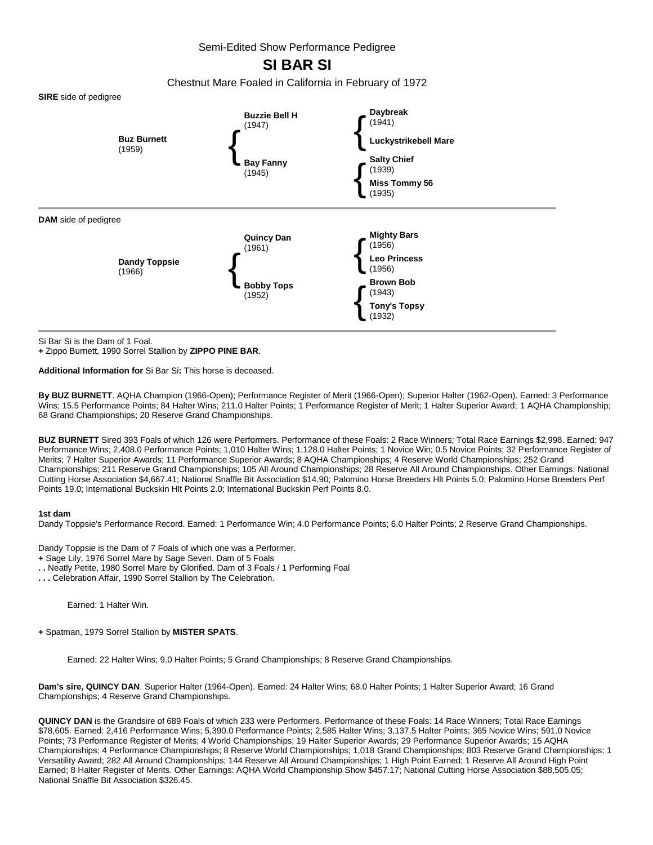Semi-Edited Show Performance Pedigree

# **SI BAR SI**

Chestnut Mare Foaled in California in February of 1972



Si Bar Si is the Dam of 1 Foal.

**+** Zippo Burnett, 1990 Sorrel Stallion by **ZIPPO PINE BAR**.

**Additional Information for** Si Bar Si**:** This horse is deceased.

**By BUZ BURNETT**. AQHA Champion (1966-Open); Performance Register of Merit (1966-Open); Superior Halter (1962-Open). Earned: 3 Performance Wins; 15.5 Performance Points; 84 Halter Wins; 211.0 Halter Points; 1 Performance Register of Merit; 1 Halter Superior Award; 1 AQHA Championship; 68 Grand Championships; 20 Reserve Grand Championships.

**BUZ BURNETT** Sired 393 Foals of which 126 were Performers. Performance of these Foals: 2 Race Winners; Total Race Earnings \$2,998. Earned: 947 Performance Wins; 2,408.0 Performance Points; 1,010 Halter Wins; 1,128.0 Halter Points; 1 Novice Win; 0.5 Novice Points; 32 Performance Register of Merits; 7 Halter Superior Awards; 11 Performance Superior Awards; 8 AQHA Championships; 4 Reserve World Championships; 252 Grand Championships; 211 Reserve Grand Championships; 105 All Around Championships; 28 Reserve All Around Championships. Other Earnings: National Cutting Horse Association \$4,667.41; National Snaffle Bit Association \$14.90; Palomino Horse Breeders Hlt Points 5.0; Palomino Horse Breeders Perf Points 19.0; International Buckskin Hlt Points 2.0; International Buckskin Perf Points 8.0.

### **1st dam**

Dandy Toppsie's Performance Record. Earned: 1 Performance Win; 4.0 Performance Points; 6.0 Halter Points; 2 Reserve Grand Championships.

Dandy Toppsie is the Dam of 7 Foals of which one was a Performer.

- **+** Sage Lily, 1976 Sorrel Mare by Sage Seven. Dam of 5 Foals
- **. .** Neatly Petite, 1980 Sorrel Mare by Glorified. Dam of 3 Foals / 1 Performing Foal
- **. . .** Celebration Affair, 1990 Sorrel Stallion by The Celebration.

Earned: 1 Halter Win.

**+** Spatman, 1979 Sorrel Stallion by **MISTER SPATS**.

Earned: 22 Halter Wins; 9.0 Halter Points; 5 Grand Championships; 8 Reserve Grand Championships.

**Dam's sire, QUINCY DAN**. Superior Halter (1964-Open). Earned: 24 Halter Wins; 68.0 Halter Points; 1 Halter Superior Award; 16 Grand Championships; 4 Reserve Grand Championships.

**QUINCY DAN** is the Grandsire of 689 Foals of which 233 were Performers. Performance of these Foals: 14 Race Winners; Total Race Earnings \$78,605. Earned: 2,416 Performance Wins; 5,390.0 Performance Points; 2,585 Halter Wins; 3,137.5 Halter Points; 365 Novice Wins; 591.0 Novice Points; 73 Performance Register of Merits; 4 World Championships; 19 Halter Superior Awards; 29 Performance Superior Awards; 15 AQHA Championships; 4 Performance Championships; 8 Reserve World Championships; 1,018 Grand Championships; 803 Reserve Grand Championships; 1 Versatility Award; 282 All Around Championships; 144 Reserve All Around Championships; 1 High Point Earned; 1 Reserve All Around High Point Earned; 8 Halter Register of Merits. Other Earnings: AQHA World Championship Show \$457.17; National Cutting Horse Association \$88,505.05; National Snaffle Bit Association \$326.45.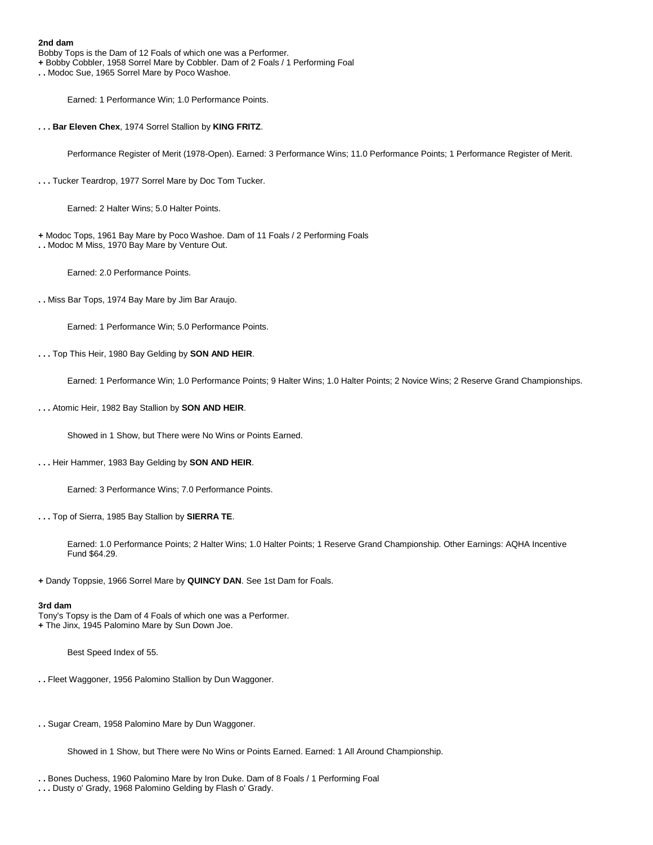Bobby Tops is the Dam of 12 Foals of which one was a Performer.

**+** Bobby Cobbler, 1958 Sorrel Mare by Cobbler. Dam of 2 Foals / 1 Performing Foal

**. .** Modoc Sue, 1965 Sorrel Mare by Poco Washoe.

Earned: 1 Performance Win; 1.0 Performance Points.

**. . . Bar Eleven Chex**, 1974 Sorrel Stallion by **KING FRITZ**.

Performance Register of Merit (1978-Open). Earned: 3 Performance Wins; 11.0 Performance Points; 1 Performance Register of Merit.

**. . .** Tucker Teardrop, 1977 Sorrel Mare by Doc Tom Tucker.

Earned: 2 Halter Wins; 5.0 Halter Points.

**+** Modoc Tops, 1961 Bay Mare by Poco Washoe. Dam of 11 Foals / 2 Performing Foals **. .** Modoc M Miss, 1970 Bay Mare by Venture Out.

Earned: 2.0 Performance Points.

**. .** Miss Bar Tops, 1974 Bay Mare by Jim Bar Araujo.

Earned: 1 Performance Win; 5.0 Performance Points.

## **. . .** Top This Heir, 1980 Bay Gelding by **SON AND HEIR**.

Earned: 1 Performance Win; 1.0 Performance Points; 9 Halter Wins; 1.0 Halter Points; 2 Novice Wins; 2 Reserve Grand Championships.

**. . .** Atomic Heir, 1982 Bay Stallion by **SON AND HEIR**.

Showed in 1 Show, but There were No Wins or Points Earned.

**. . .** Heir Hammer, 1983 Bay Gelding by **SON AND HEIR**.

Earned: 3 Performance Wins; 7.0 Performance Points.

**. . .** Top of Sierra, 1985 Bay Stallion by **SIERRA TE**.

Earned: 1.0 Performance Points; 2 Halter Wins; 1.0 Halter Points; 1 Reserve Grand Championship. Other Earnings: AQHA Incentive Fund \$64.29.

**+** Dandy Toppsie, 1966 Sorrel Mare by **QUINCY DAN**. See 1st Dam for Foals.

### **3rd dam**

Tony's Topsy is the Dam of 4 Foals of which one was a Performer. **+** The Jinx, 1945 Palomino Mare by Sun Down Joe.

Best Speed Index of 55.

- **. .** Fleet Waggoner, 1956 Palomino Stallion by Dun Waggoner.
- **. .** Sugar Cream, 1958 Palomino Mare by Dun Waggoner.

Showed in 1 Show, but There were No Wins or Points Earned. Earned: 1 All Around Championship.

**. .** Bones Duchess, 1960 Palomino Mare by Iron Duke. Dam of 8 Foals / 1 Performing Foal

**<sup>. . .</sup>** Dusty o' Grady, 1968 Palomino Gelding by Flash o' Grady.